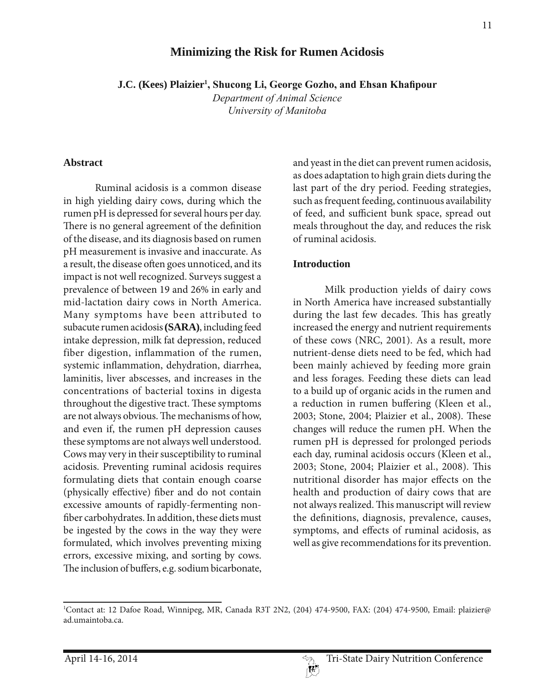# **Minimizing the Risk for Rumen Acidosis**

**J.C. (Kees) Plaizier<sup>1</sup>, Shucong Li, George Gozho, and Ehsan Khafipour** 

*Department of Animal Science University of Manitoba* 

#### **Abstract**

Ruminal acidosis is a common disease in high yielding dairy cows, during which the rumen pH is depressed for several hours per day. There is no general agreement of the definition of the disease, and its diagnosis based on rumen pH measurement is invasive and inaccurate. As a result, the disease often goes unnoticed, and its impact is not well recognized. Surveys suggest a prevalence of between 19 and 26% in early and mid-lactation dairy cows in North America. Many symptoms have been attributed to subacute rumen acidosis **(SARA)**, including feed intake depression, milk fat depression, reduced fiber digestion, inflammation of the rumen, systemic inflammation, dehydration, diarrhea, laminitis, liver abscesses, and increases in the concentrations of bacterial toxins in digesta throughout the digestive tract. These symptoms are not always obvious. The mechanisms of how, and even if, the rumen pH depression causes these symptoms are not always well understood. Cows may very in their susceptibility to ruminal acidosis. Preventing ruminal acidosis requires formulating diets that contain enough coarse (physically effective) fiber and do not contain excessive amounts of rapidly-fermenting nonfiber carbohydrates. In addition, these diets must be ingested by the cows in the way they were formulated, which involves preventing mixing errors, excessive mixing, and sorting by cows. The inclusion of buffers, e.g. sodium bicarbonate,

and yeast in the diet can prevent rumen acidosis, as does adaptation to high grain diets during the last part of the dry period. Feeding strategies, such as frequent feeding, continuous availability of feed, and sufficient bunk space, spread out meals throughout the day, and reduces the risk of ruminal acidosis.

#### **Introduction**

Milk production yields of dairy cows in North America have increased substantially during the last few decades. This has greatly increased the energy and nutrient requirements of these cows (NRC, 2001). As a result, more nutrient-dense diets need to be fed, which had been mainly achieved by feeding more grain and less forages. Feeding these diets can lead to a build up of organic acids in the rumen and a reduction in rumen buffering (Kleen et al., 2003; Stone, 2004; Plaizier et al., 2008). These changes will reduce the rumen pH. When the rumen pH is depressed for prolonged periods each day, ruminal acidosis occurs (Kleen et al., 2003; Stone, 2004; Plaizier et al., 2008). This nutritional disorder has major effects on the health and production of dairy cows that are not always realized. This manuscript will review the definitions, diagnosis, prevalence, causes, symptoms, and effects of ruminal acidosis, as well as give recommendations for its prevention.

<sup>1</sup> Contact at: 12 Dafoe Road, Winnipeg, MR, Canada R3T 2N2, (204) 474-9500, FAX: (204) 474-9500, Email: plaizier@ ad.umaintoba.ca.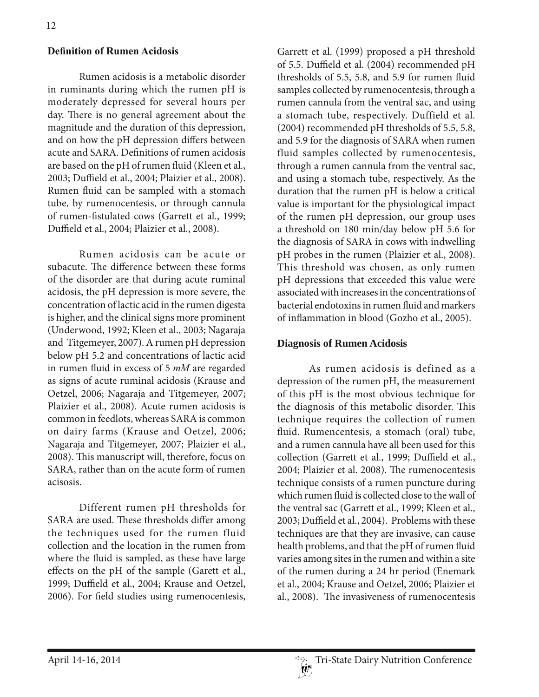#### **Definition of Rumen Acidosis**

Rumen acidosis is a metabolic disorder in ruminants during which the rumen pH is moderately depressed for several hours per day. There is no general agreement about the magnitude and the duration of this depression, and on how the pH depression differs between acute and SARA. Definitions of rumen acidosis are based on the pH of rumen fluid (Kleen et al., 2003; Duffield et al., 2004; Plaizier et al., 2008). Rumen fluid can be sampled with a stomach tube, by rumenocentesis, or through cannula of rumen-fistulated cows (Garrett et al., 1999; Duffield et al., 2004; Plaizier et al., 2008).

Rumen acidosis can be acute or subacute. The difference between these forms of the disorder are that during acute ruminal acidosis, the pH depression is more severe, the concentration of lactic acid in the rumen digesta is higher, and the clinical signs more prominent (Underwood, 1992; Kleen et al., 2003; Nagaraja and Titgemeyer, 2007). A rumen pH depression below pH 5.2 and concentrations of lactic acid in rumen fluid in excess of 5 *mM* are regarded as signs of acute ruminal acidosis (Krause and Oetzel, 2006; Nagaraja and Titgemeyer, 2007; Plaizier et al., 2008). Acute rumen acidosis is common in feedlots, whereas SARA is common on dairy farms (Krause and Oetzel, 2006; Nagaraja and Titgemeyer, 2007; Plaizier et al., 2008). This manuscript will, therefore, focus on SARA, rather than on the acute form of rumen acisosis.

Different rumen pH thresholds for SARA are used. These thresholds differ among the techniques used for the rumen fluid collection and the location in the rumen from where the fluid is sampled, as these have large effects on the pH of the sample (Garett et al., 1999; Duffield et al., 2004; Krause and Oetzel, 2006). For field studies using rumenocentesis,

Garrett et al. (1999) proposed a pH threshold of 5.5. Duffield et al. (2004) recommended pH thresholds of 5.5, 5.8, and 5.9 for rumen fluid samples collected by rumenocentesis, through a rumen cannula from the ventral sac, and using a stomach tube, respectively. Duffield et al. (2004) recommended pH thresholds of 5.5, 5.8, and 5.9 for the diagnosis of SARA when rumen fluid samples collected by rumenocentesis, through a rumen cannula from the ventral sac, and using a stomach tube, respectively. As the duration that the rumen pH is below a critical value is important for the physiological impact of the rumen pH depression, our group uses a threshold on 180 min/day below pH 5.6 for the diagnosis of SARA in cows with indwelling pH probes in the rumen (Plaizier et al., 2008). This threshold was chosen, as only rumen pH depressions that exceeded this value were associated with increases in the concentrations of bacterial endotoxins in rumen fluid and markers of inflammation in blood (Gozho et al., 2005).

#### **Diagnosis of Rumen Acidosis**

As rumen acidosis is defined as a depression of the rumen pH, the measurement of this pH is the most obvious technique for the diagnosis of this metabolic disorder. This technique requires the collection of rumen fluid. Rumencentesis, a stomach (oral) tube, and a rumen cannula have all been used for this collection (Garrett et al., 1999; Duffield et al., 2004; Plaizier et al. 2008). The rumenocentesis technique consists of a rumen puncture during which rumen fluid is collected close to the wall of the ventral sac (Garrett et al., 1999; Kleen et al., 2003; Duffield et al., 2004). Problems with these techniques are that they are invasive, can cause health problems, and that the pH of rumen fluid varies among sites in the rumen and within a site of the rumen during a 24 hr period (Enemark et al., 2004; Krause and Oetzel, 2006; Plaizier et al., 2008). The invasiveness of rumenocentesis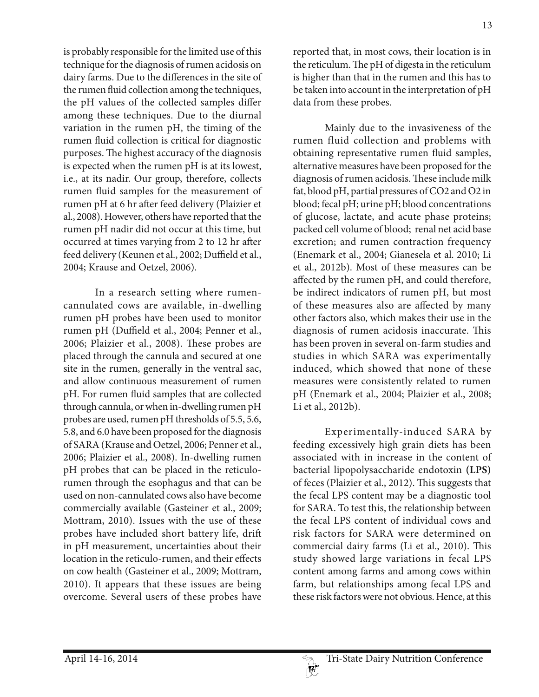is probably responsible for the limited use of this technique for the diagnosis of rumen acidosis on dairy farms. Due to the differences in the site of the rumen fluid collection among the techniques, the pH values of the collected samples differ among these techniques. Due to the diurnal variation in the rumen pH, the timing of the rumen fluid collection is critical for diagnostic purposes. The highest accuracy of the diagnosis is expected when the rumen pH is at its lowest, i.e., at its nadir. Our group, therefore, collects rumen fluid samples for the measurement of rumen pH at 6 hr after feed delivery (Plaizier et al., 2008). However, others have reported that the rumen pH nadir did not occur at this time, but occurred at times varying from 2 to 12 hr after feed delivery (Keunen et al., 2002; Duffield et al., 2004; Krause and Oetzel, 2006).

In a research setting where rumencannulated cows are available, in-dwelling rumen pH probes have been used to monitor rumen pH (Duffield et al., 2004; Penner et al., 2006; Plaizier et al., 2008). These probes are placed through the cannula and secured at one site in the rumen, generally in the ventral sac, and allow continuous measurement of rumen pH. For rumen fluid samples that are collected through cannula, or when in-dwelling rumen pH probes are used, rumen pH thresholds of 5.5, 5.6, 5.8, and 6.0 have been proposed for the diagnosis of SARA (Krause and Oetzel, 2006; Penner et al., 2006; Plaizier et al., 2008). In-dwelling rumen pH probes that can be placed in the reticulorumen through the esophagus and that can be used on non-cannulated cows also have become commercially available (Gasteiner et al., 2009; Mottram, 2010). Issues with the use of these probes have included short battery life, drift in pH measurement, uncertainties about their location in the reticulo-rumen, and their effects on cow health (Gasteiner et al., 2009; Mottram, 2010). It appears that these issues are being overcome. Several users of these probes have

reported that, in most cows, their location is in the reticulum. The pH of digesta in the reticulum is higher than that in the rumen and this has to be taken into account in the interpretation of pH data from these probes.

Mainly due to the invasiveness of the rumen fluid collection and problems with obtaining representative rumen fluid samples, alternative measures have been proposed for the diagnosis of rumen acidosis. These include milk fat, blood pH, partial pressures of CO2 and O2 in blood; fecal pH; urine pH; blood concentrations of glucose, lactate, and acute phase proteins; packed cell volume of blood; renal net acid base excretion; and rumen contraction frequency (Enemark et al., 2004; Gianesela et al. 2010; Li et al., 2012b). Most of these measures can be affected by the rumen pH, and could therefore, be indirect indicators of rumen pH, but most of these measures also are affected by many other factors also, which makes their use in the diagnosis of rumen acidosis inaccurate. This has been proven in several on-farm studies and studies in which SARA was experimentally induced, which showed that none of these measures were consistently related to rumen pH (Enemark et al., 2004; Plaizier et al., 2008; Li et al., 2012b).

Experimentally-induced SARA by feeding excessively high grain diets has been associated with in increase in the content of bacterial lipopolysaccharide endotoxin **(LPS)**  of feces (Plaizier et al., 2012). This suggests that the fecal LPS content may be a diagnostic tool for SARA. To test this, the relationship between the fecal LPS content of individual cows and risk factors for SARA were determined on commercial dairy farms (Li et al., 2010). This study showed large variations in fecal LPS content among farms and among cows within farm, but relationships among fecal LPS and these risk factors were not obvious. Hence, at this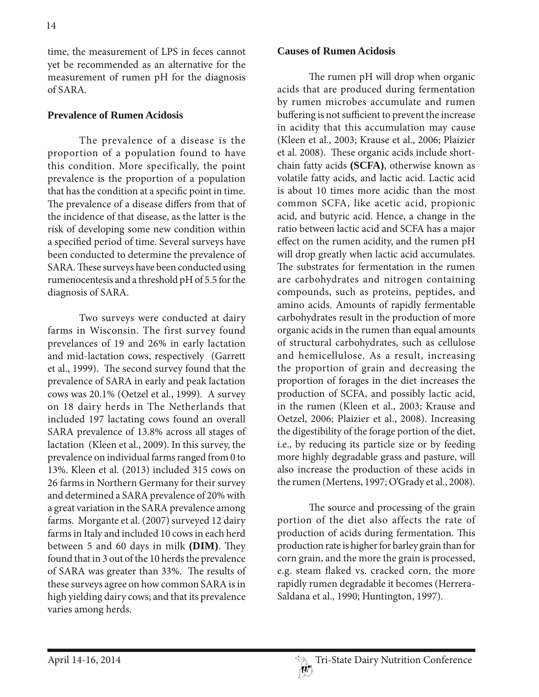time, the measurement of LPS in feces cannot yet be recommended as an alternative for the measurement of rumen pH for the diagnosis of SARA.

#### **Prevalence of Rumen Acidosis**

The prevalence of a disease is the proportion of a population found to have this condition. More specifically, the point prevalence is the proportion of a population that has the condition at a specific point in time. The prevalence of a disease differs from that of the incidence of that disease, as the latter is the risk of developing some new condition within a specified period of time. Several surveys have been conducted to determine the prevalence of SARA. These surveys have been conducted using rumenocentesis and a threshold pH of 5.5 for the diagnosis of SARA.

Two surveys were conducted at dairy farms in Wisconsin. The first survey found prevelances of 19 and 26% in early lactation and mid-lactation cows, respectively (Garrett et al., 1999). The second survey found that the prevalence of SARA in early and peak lactation cows was 20.1% (Oetzel et al., 1999). A survey on 18 dairy herds in The Netherlands that included 197 lactating cows found an overall SARA prevalence of 13.8% across all stages of lactation (Kleen et al., 2009). In this survey, the prevalence on individual farms ranged from 0 to 13%. Kleen et al. (2013) included 315 cows on 26 farms in Northern Germany for their survey and determined a SARA prevalence of 20% with a great variation in the SARA prevalence among farms. Morgante et al. (2007) surveyed 12 dairy farms in Italy and included 10 cows in each herd between 5 and 60 days in milk **(DIM)**. They found that in 3 out of the 10 herds the prevalence of SARA was greater than 33%. The results of these surveys agree on how common SARA is in high yielding dairy cows; and that its prevalence varies among herds.

#### **Causes of Rumen Acidosis**

The rumen pH will drop when organic acids that are produced during fermentation by rumen microbes accumulate and rumen buffering is not sufficient to prevent the increase in acidity that this accumulation may cause (Kleen et al., 2003; Krause et al., 2006; Plaizier et al. 2008). These organic acids include shortchain fatty acids **(SCFA)**, otherwise known as volatile fatty acids, and lactic acid. Lactic acid is about 10 times more acidic than the most common SCFA, like acetic acid, propionic acid, and butyric acid. Hence, a change in the ratio between lactic acid and SCFA has a major effect on the rumen acidity, and the rumen pH will drop greatly when lactic acid accumulates. The substrates for fermentation in the rumen are carbohydrates and nitrogen containing compounds, such as proteins, peptides, and amino acids. Amounts of rapidly fermentable carbohydrates result in the production of more organic acids in the rumen than equal amounts of structural carbohydrates, such as cellulose and hemicellulose. As a result, increasing the proportion of grain and decreasing the proportion of forages in the diet increases the production of SCFA, and possibly lactic acid, in the rumen (Kleen et al., 2003; Krause and Oetzel, 2006; Plaizier et al., 2008). Increasing the digestibility of the forage portion of the diet, i.e., by reducing its particle size or by feeding more highly degradable grass and pasture, will also increase the production of these acids in the rumen (Mertens, 1997; O'Grady et al., 2008).

The source and processing of the grain portion of the diet also affects the rate of production of acids during fermentation. This production rate is higher for barley grain than for corn grain, and the more the grain is processed, e.g. steam flaked vs. cracked corn, the more rapidly rumen degradable it becomes (Herrera-Saldana et al., 1990; Huntington, 1997).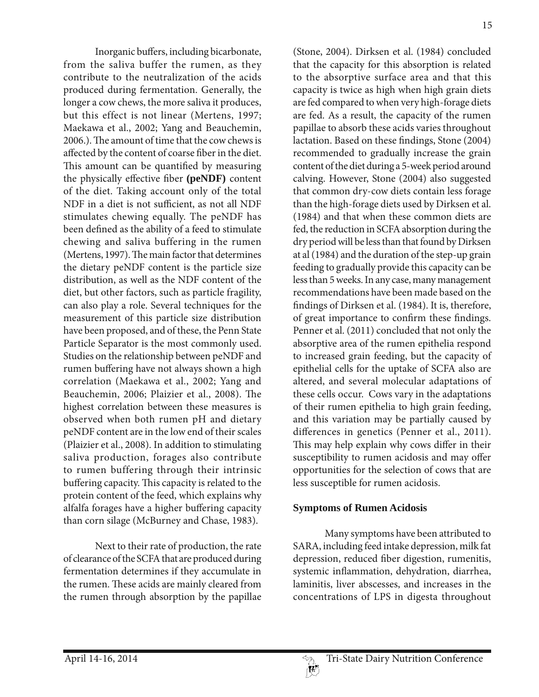Inorganic buffers, including bicarbonate, from the saliva buffer the rumen, as they contribute to the neutralization of the acids produced during fermentation. Generally, the longer a cow chews, the more saliva it produces, but this effect is not linear (Mertens, 1997; Maekawa et al., 2002; Yang and Beauchemin, 2006.). The amount of time that the cow chews is affected by the content of coarse fiber in the diet. This amount can be quantified by measuring the physically effective fiber **(peNDF)** content of the diet. Taking account only of the total NDF in a diet is not sufficient, as not all NDF stimulates chewing equally. The peNDF has been defined as the ability of a feed to stimulate chewing and saliva buffering in the rumen (Mertens, 1997). The main factor that determines the dietary peNDF content is the particle size distribution, as well as the NDF content of the diet, but other factors, such as particle fragility, can also play a role. Several techniques for the measurement of this particle size distribution have been proposed, and of these, the Penn State Particle Separator is the most commonly used. Studies on the relationship between peNDF and rumen buffering have not always shown a high correlation (Maekawa et al., 2002; Yang and Beauchemin, 2006; Plaizier et al., 2008). The highest correlation between these measures is observed when both rumen pH and dietary peNDF content are in the low end of their scales (Plaizier et al., 2008). In addition to stimulating saliva production, forages also contribute to rumen buffering through their intrinsic buffering capacity. This capacity is related to the protein content of the feed, which explains why alfalfa forages have a higher buffering capacity than corn silage (McBurney and Chase, 1983).

Next to their rate of production, the rate of clearance of the SCFA that are produced during fermentation determines if they accumulate in the rumen. These acids are mainly cleared from the rumen through absorption by the papillae

(Stone, 2004). Dirksen et al. (1984) concluded that the capacity for this absorption is related to the absorptive surface area and that this capacity is twice as high when high grain diets are fed compared to when very high-forage diets are fed. As a result, the capacity of the rumen papillae to absorb these acids varies throughout lactation. Based on these findings, Stone (2004) recommended to gradually increase the grain content of the diet during a 5-week period around calving. However, Stone (2004) also suggested that common dry-cow diets contain less forage than the high-forage diets used by Dirksen et al. (1984) and that when these common diets are fed, the reduction in SCFA absorption during the dry period will be less than that found by Dirksen at al (1984) and the duration of the step-up grain feeding to gradually provide this capacity can be less than 5 weeks. In any case, many management recommendations have been made based on the findings of Dirksen et al. (1984). It is, therefore, of great importance to confirm these findings. Penner et al. (2011) concluded that not only the absorptive area of the rumen epithelia respond to increased grain feeding, but the capacity of epithelial cells for the uptake of SCFA also are altered, and several molecular adaptations of these cells occur. Cows vary in the adaptations of their rumen epithelia to high grain feeding, and this variation may be partially caused by differences in genetics (Penner et al., 2011). This may help explain why cows differ in their susceptibility to rumen acidosis and may offer opportunities for the selection of cows that are less susceptible for rumen acidosis.

# **Symptoms of Rumen Acidosis**

Many symptoms have been attributed to SARA, including feed intake depression, milk fat depression, reduced fiber digestion, rumenitis, systemic inflammation, dehydration, diarrhea, laminitis, liver abscesses, and increases in the concentrations of LPS in digesta throughout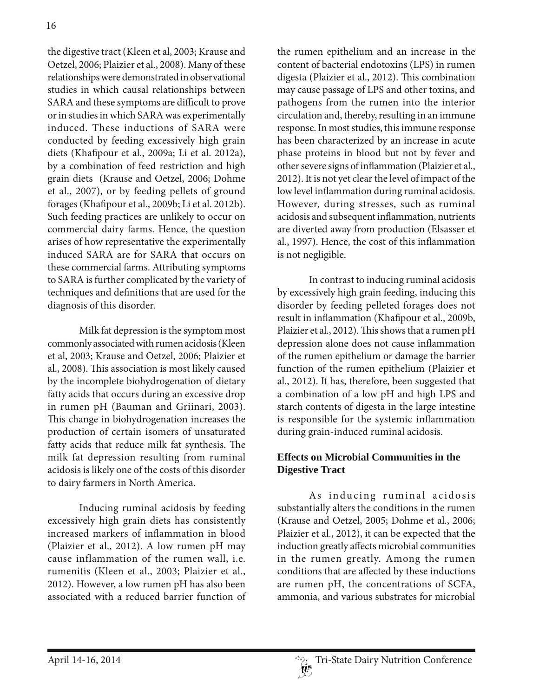the digestive tract (Kleen et al, 2003; Krause and Oetzel, 2006; Plaizier et al., 2008). Many of these relationships were demonstrated in observational studies in which causal relationships between SARA and these symptoms are difficult to prove or in studies in which SARA was experimentally induced. These inductions of SARA were conducted by feeding excessively high grain diets (Khafipour et al., 2009a; Li et al. 2012a), by a combination of feed restriction and high grain diets (Krause and Oetzel, 2006; Dohme et al., 2007), or by feeding pellets of ground forages (Khafipour et al., 2009b; Li et al. 2012b). Such feeding practices are unlikely to occur on commercial dairy farms. Hence, the question arises of how representative the experimentally induced SARA are for SARA that occurs on these commercial farms. Attributing symptoms to SARA is further complicated by the variety of techniques and definitions that are used for the diagnosis of this disorder.

Milk fat depression is the symptom most commonly associated with rumen acidosis (Kleen et al, 2003; Krause and Oetzel, 2006; Plaizier et al., 2008). This association is most likely caused by the incomplete biohydrogenation of dietary fatty acids that occurs during an excessive drop in rumen pH (Bauman and Griinari, 2003). This change in biohydrogenation increases the production of certain isomers of unsaturated fatty acids that reduce milk fat synthesis. The milk fat depression resulting from ruminal acidosis is likely one of the costs of this disorder to dairy farmers in North America.

Inducing ruminal acidosis by feeding excessively high grain diets has consistently increased markers of inflammation in blood (Plaizier et al., 2012). A low rumen pH may cause inflammation of the rumen wall, i.e. rumenitis (Kleen et al., 2003; Plaizier et al., 2012). However, a low rumen pH has also been associated with a reduced barrier function of

the rumen epithelium and an increase in the content of bacterial endotoxins (LPS) in rumen digesta (Plaizier et al., 2012). This combination may cause passage of LPS and other toxins, and pathogens from the rumen into the interior circulation and, thereby, resulting in an immune response. In most studies, this immune response has been characterized by an increase in acute phase proteins in blood but not by fever and other severe signs of inflammation (Plaizier et al., 2012). It is not yet clear the level of impact of the low level inflammation during ruminal acidosis. However, during stresses, such as ruminal acidosis and subsequent inflammation, nutrients are diverted away from production (Elsasser et al., 1997). Hence, the cost of this inflammation is not negligible.

In contrast to inducing ruminal acidosis by excessively high grain feeding, inducing this disorder by feeding pelleted forages does not result in inflammation (Khafipour et al., 2009b, Plaizier et al., 2012). This shows that a rumen pH depression alone does not cause inflammation of the rumen epithelium or damage the barrier function of the rumen epithelium (Plaizier et al., 2012). It has, therefore, been suggested that a combination of a low pH and high LPS and starch contents of digesta in the large intestine is responsible for the systemic inflammation during grain-induced ruminal acidosis.

# **Effects on Microbial Communities in the Digestive Tract**

As inducing ruminal acidosis substantially alters the conditions in the rumen (Krause and Oetzel, 2005; Dohme et al., 2006; Plaizier et al., 2012), it can be expected that the induction greatly affects microbial communities in the rumen greatly. Among the rumen conditions that are affected by these inductions are rumen pH, the concentrations of SCFA, ammonia, and various substrates for microbial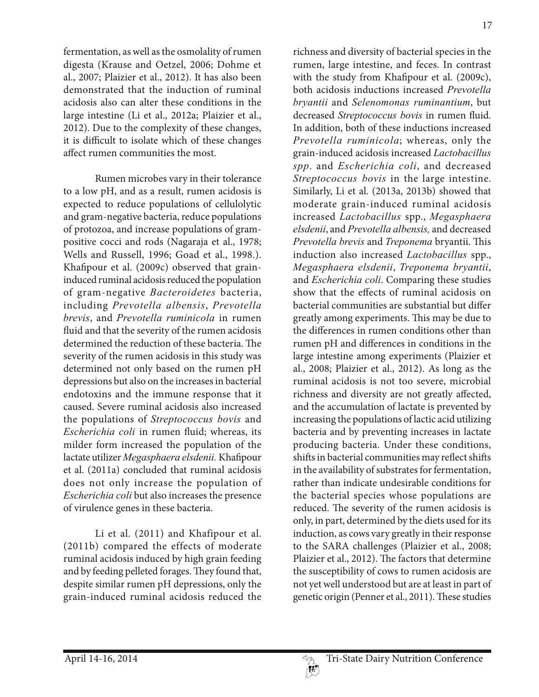fermentation, as well as the osmolality of rumen digesta (Krause and Oetzel, 2006; Dohme et al., 2007; Plaizier et al., 2012). It has also been demonstrated that the induction of ruminal acidosis also can alter these conditions in the large intestine (Li et al., 2012a; Plaizier et al., 2012). Due to the complexity of these changes, it is difficult to isolate which of these changes affect rumen communities the most.

Rumen microbes vary in their tolerance to a low pH, and as a result, rumen acidosis is expected to reduce populations of cellulolytic and gram-negative bacteria, reduce populations of protozoa, and increase populations of grampositive cocci and rods (Nagaraja et al., 1978; Wells and Russell, 1996; Goad et al., 1998.). Khafipour et al. (2009c) observed that graininduced ruminal acidosis reduced the population of gram-negative *Bacteroidetes* bacteria, including *Prevotella albensis*, *Prevotella brevis*, and *Prevotella ruminicola* in rumen fluid and that the severity of the rumen acidosis determined the reduction of these bacteria. The severity of the rumen acidosis in this study was determined not only based on the rumen pH depressions but also on the increases in bacterial endotoxins and the immune response that it caused. Severe ruminal acidosis also increased the populations of *Streptococcus bovis* and *Escherichia coli* in rumen fluid; whereas, its milder form increased the population of the lactate utilizer *Megasphaera elsdenii.* Khafipour et al. (2011a) concluded that ruminal acidosis does not only increase the population of *Escherichia coli* but also increases the presence of virulence genes in these bacteria.

Li et al. (2011) and Khafipour et al. (2011b) compared the effects of moderate ruminal acidosis induced by high grain feeding and by feeding pelleted forages. They found that, despite similar rumen pH depressions, only the grain-induced ruminal acidosis reduced the

richness and diversity of bacterial species in the rumen, large intestine, and feces. In contrast with the study from Khafipour et al. (2009c), both acidosis inductions increased *Prevotella bryantii* and *Selenomonas ruminantium*, but decreased *Streptococcus bovis* in rumen fluid. In addition, both of these inductions increased *Prevotella ruminicola*; whereas, only the grain-induced acidosis increased *Lactobacillus spp*. and *Escherichia coli*, and decreased *Streptococcus bovis* in the large intestine. Similarly, Li et al. (2013a, 2013b) showed that moderate grain-induced ruminal acidosis increased *Lactobacillus* spp., *Megasphaera elsdenii*, and *Prevotella albensis,* and decreased *Prevotella brevis* and *Treponema* bryantii. This induction also increased *Lactobacillus* spp., *Megasphaera elsdenii*, *Treponema bryantii*, and *Escherichia coli*. Comparing these studies show that the effects of ruminal acidosis on bacterial communities are substantial but differ greatly among experiments. This may be due to the differences in rumen conditions other than rumen pH and differences in conditions in the large intestine among experiments (Plaizier et al., 2008; Plaizier et al., 2012). As long as the ruminal acidosis is not too severe, microbial richness and diversity are not greatly affected, and the accumulation of lactate is prevented by increasing the populations of lactic acid utilizing bacteria and by preventing increases in lactate producing bacteria. Under these conditions, shifts in bacterial communities may reflect shifts in the availability of substrates for fermentation, rather than indicate undesirable conditions for the bacterial species whose populations are reduced. The severity of the rumen acidosis is only, in part, determined by the diets used for its induction, as cows vary greatly in their response to the SARA challenges (Plaizier et al., 2008; Plaizier et al., 2012). The factors that determine the susceptibility of cows to rumen acidosis are not yet well understood but are at least in part of genetic origin (Penner et al., 2011). These studies

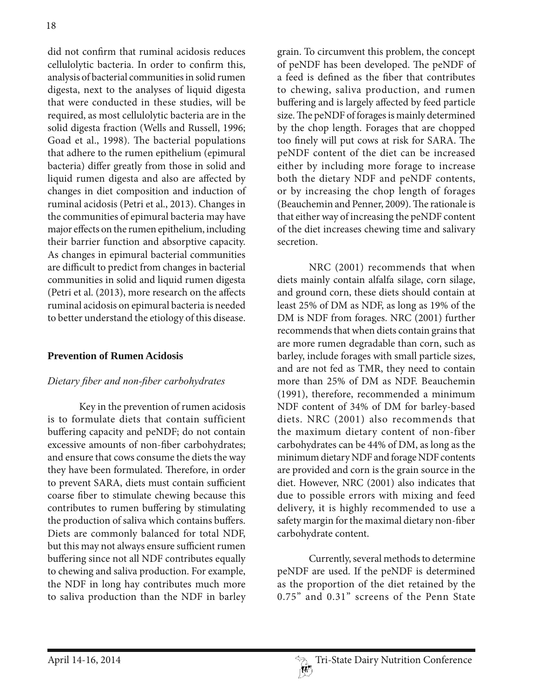did not confirm that ruminal acidosis reduces cellulolytic bacteria. In order to confirm this, analysis of bacterial communities in solid rumen digesta, next to the analyses of liquid digesta that were conducted in these studies, will be required, as most cellulolytic bacteria are in the solid digesta fraction (Wells and Russell, 1996; Goad et al., 1998). The bacterial populations that adhere to the rumen epithelium (epimural bacteria) differ greatly from those in solid and liquid rumen digesta and also are affected by changes in diet composition and induction of ruminal acidosis (Petri et al., 2013). Changes in the communities of epimural bacteria may have major effects on the rumen epithelium, including their barrier function and absorptive capacity. As changes in epimural bacterial communities are difficult to predict from changes in bacterial communities in solid and liquid rumen digesta (Petri et al. (2013), more research on the affects ruminal acidosis on epimural bacteria is needed to better understand the etiology of this disease.

### **Prevention of Rumen Acidosis**

### *Dietary ¿ber and non¿ber carbohydrates*

Key in the prevention of rumen acidosis is to formulate diets that contain sufficient buffering capacity and peNDF; do not contain excessive amounts of non-fiber carbohydrates; and ensure that cows consume the diets the way they have been formulated. Therefore, in order to prevent SARA, diets must contain sufficient coarse fiber to stimulate chewing because this contributes to rumen buffering by stimulating the production of saliva which contains buffers. Diets are commonly balanced for total NDF, but this may not always ensure sufficient rumen buffering since not all NDF contributes equally to chewing and saliva production. For example, the NDF in long hay contributes much more to saliva production than the NDF in barley

grain. To circumvent this problem, the concept of peNDF has been developed. The peNDF of a feed is defined as the fiber that contributes to chewing, saliva production, and rumen buffering and is largely affected by feed particle size. The peNDF of forages is mainly determined by the chop length. Forages that are chopped too finely will put cows at risk for SARA. The peNDF content of the diet can be increased either by including more forage to increase both the dietary NDF and peNDF contents, or by increasing the chop length of forages (Beauchemin and Penner, 2009). The rationale is that either way of increasing the peNDF content of the diet increases chewing time and salivary secretion.

NRC (2001) recommends that when diets mainly contain alfalfa silage, corn silage, and ground corn, these diets should contain at least 25% of DM as NDF, as long as 19% of the DM is NDF from forages. NRC (2001) further recommends that when diets contain grains that are more rumen degradable than corn, such as barley, include forages with small particle sizes, and are not fed as TMR, they need to contain more than 25% of DM as NDF. Beauchemin (1991), therefore, recommended a minimum NDF content of 34% of DM for barley-based diets. NRC (2001) also recommends that the maximum dietary content of non-fiber carbohydrates can be 44% of DM, as long as the minimum dietary NDF and forage NDF contents are provided and corn is the grain source in the diet. However, NRC (2001) also indicates that due to possible errors with mixing and feed delivery, it is highly recommended to use a safety margin for the maximal dietary non-fiber carbohydrate content.

Currently, several methods to determine peNDF are used. If the peNDF is determined as the proportion of the diet retained by the 0.75" and 0.31" screens of the Penn State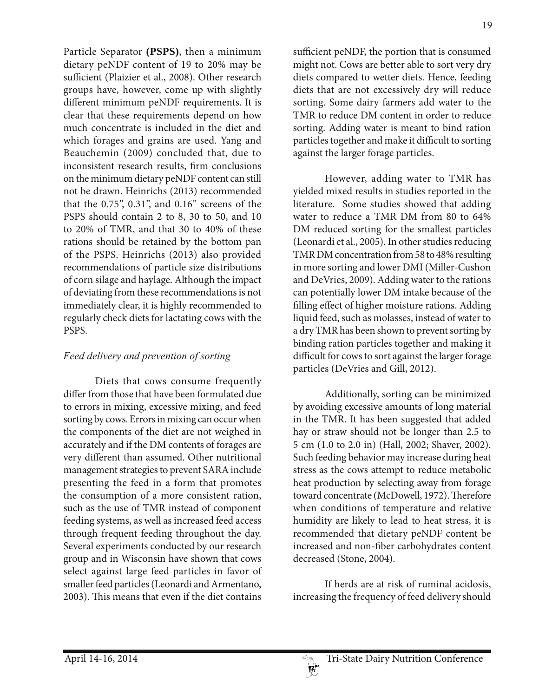Particle Separator **(PSPS)**, then a minimum dietary peNDF content of 19 to 20% may be sufficient (Plaizier et al., 2008). Other research groups have, however, come up with slightly different minimum peNDF requirements. It is clear that these requirements depend on how much concentrate is included in the diet and which forages and grains are used. Yang and Beauchemin (2009) concluded that, due to inconsistent research results, firm conclusions on the minimum dietary peNDF content can still not be drawn. Heinrichs (2013) recommended that the 0.75", 0.31", and 0.16" screens of the PSPS should contain 2 to 8, 30 to 50, and 10 to 20% of TMR, and that 30 to 40% of these rations should be retained by the bottom pan of the PSPS. Heinrichs (2013) also provided recommendations of particle size distributions of corn silage and haylage. Although the impact of deviating from these recommendations is not immediately clear, it is highly recommended to regularly check diets for lactating cows with the PSPS.

# *Feed delivery and prevention of sorting*

Diets that cows consume frequently differ from those that have been formulated due to errors in mixing, excessive mixing, and feed sorting by cows. Errors in mixing can occur when the components of the diet are not weighed in accurately and if the DM contents of forages are very different than assumed. Other nutritional management strategies to prevent SARA include presenting the feed in a form that promotes the consumption of a more consistent ration, such as the use of TMR instead of component feeding systems, as well as increased feed access through frequent feeding throughout the day. Several experiments conducted by our research group and in Wisconsin have shown that cows select against large feed particles in favor of smaller feed particles (Leonardi and Armentano, 2003). This means that even if the diet contains

sufficient peNDF, the portion that is consumed might not. Cows are better able to sort very dry diets compared to wetter diets. Hence, feeding diets that are not excessively dry will reduce sorting. Some dairy farmers add water to the TMR to reduce DM content in order to reduce sorting. Adding water is meant to bind ration particles together and make it difficult to sorting against the larger forage particles.

However, adding water to TMR has yielded mixed results in studies reported in the literature. Some studies showed that adding water to reduce a TMR DM from 80 to 64% DM reduced sorting for the smallest particles (Leonardi et al., 2005). In other studies reducing TMR DM concentration from 58 to 48% resulting in more sorting and lower DMI (Miller-Cushon and DeVries, 2009). Adding water to the rations can potentially lower DM intake because of the filling effect of higher moisture rations. Adding liquid feed, such as molasses, instead of water to a dry TMR has been shown to prevent sorting by binding ration particles together and making it difficult for cows to sort against the larger forage particles (DeVries and Gill, 2012).

Additionally, sorting can be minimized by avoiding excessive amounts of long material in the TMR. It has been suggested that added hay or straw should not be longer than 2.5 to 5 cm (1.0 to 2.0 in) (Hall, 2002; Shaver, 2002). Such feeding behavior may increase during heat stress as the cows attempt to reduce metabolic heat production by selecting away from forage toward concentrate (McDowell, 1972). Therefore when conditions of temperature and relative humidity are likely to lead to heat stress, it is recommended that dietary peNDF content be increased and non-fiber carbohydrates content decreased (Stone, 2004).

If herds are at risk of ruminal acidosis, increasing the frequency of feed delivery should

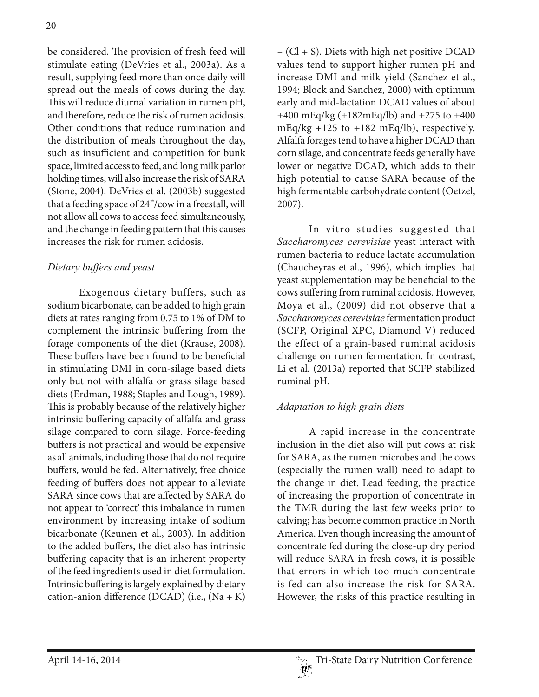be considered. The provision of fresh feed will stimulate eating (DeVries et al., 2003a). As a result, supplying feed more than once daily will spread out the meals of cows during the day. This will reduce diurnal variation in rumen pH, and therefore, reduce the risk of rumen acidosis. Other conditions that reduce rumination and the distribution of meals throughout the day, such as insufficient and competition for bunk space, limited access to feed, and long milk parlor holding times, will also increase the risk of SARA (Stone, 2004). DeVries et al. (2003b) suggested that a feeding space of 24"/cow in a freestall, will not allow all cows to access feed simultaneously, and the change in feeding pattern that this causes increases the risk for rumen acidosis.

### *Dietary buffers and yeast*

Exogenous dietary buffers, such as sodium bicarbonate, can be added to high grain diets at rates ranging from 0.75 to 1% of DM to complement the intrinsic buffering from the forage components of the diet (Krause, 2008). These buffers have been found to be beneficial in stimulating DMI in corn-silage based diets only but not with alfalfa or grass silage based diets (Erdman, 1988; Staples and Lough, 1989). This is probably because of the relatively higher intrinsic buffering capacity of alfalfa and grass silage compared to corn silage. Force-feeding buffers is not practical and would be expensive as all animals, including those that do not require buffers, would be fed. Alternatively, free choice feeding of buffers does not appear to alleviate SARA since cows that are affected by SARA do not appear to 'correct' this imbalance in rumen environment by increasing intake of sodium bicarbonate (Keunen et al., 2003). In addition to the added buffers, the diet also has intrinsic buffering capacity that is an inherent property of the feed ingredients used in diet formulation. Intrinsic buffering is largely explained by dietary cation-anion difference (DCAD) (i.e.,  $(Na + K)$ )

– (Cl + S). Diets with high net positive DCAD values tend to support higher rumen pH and increase DMI and milk yield (Sanchez et al., 1994; Block and Sanchez, 2000) with optimum early and mid-lactation DCAD values of about +400 mEq/kg (+182mEq/lb) and +275 to +400 mEq/kg +125 to +182 mEq/lb), respectively. Alfalfa forages tend to have a higher DCAD than corn silage, and concentrate feeds generally have lower or negative DCAD, which adds to their high potential to cause SARA because of the high fermentable carbohydrate content (Oetzel, 2007).

In vitro studies suggested that *Saccharomyces cerevisiae* yeast interact with rumen bacteria to reduce lactate accumulation (Chaucheyras et al., 1996), which implies that yeast supplementation may be beneficial to the cows suffering from ruminal acidosis. However, Moya et al., (2009) did not observe that a *Saccharomyces cerevisiae* fermentation product (SCFP, Original XPC, Diamond V) reduced the effect of a grain-based ruminal acidosis challenge on rumen fermentation. In contrast, Li et al. (2013a) reported that SCFP stabilized ruminal pH.

### *Adaptation to high grain diets*

A rapid increase in the concentrate inclusion in the diet also will put cows at risk for SARA, as the rumen microbes and the cows (especially the rumen wall) need to adapt to the change in diet. Lead feeding, the practice of increasing the proportion of concentrate in the TMR during the last few weeks prior to calving; has become common practice in North America. Even though increasing the amount of concentrate fed during the close-up dry period will reduce SARA in fresh cows, it is possible that errors in which too much concentrate is fed can also increase the risk for SARA. However, the risks of this practice resulting in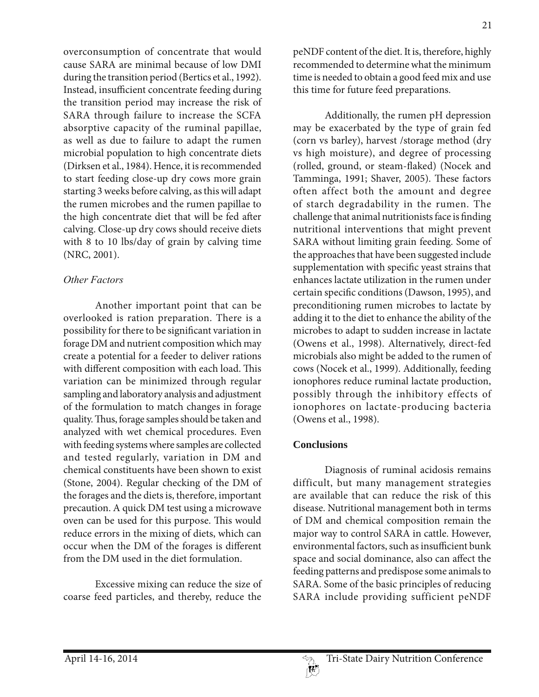overconsumption of concentrate that would cause SARA are minimal because of low DMI during the transition period (Bertics et al., 1992). Instead, insufficient concentrate feeding during the transition period may increase the risk of SARA through failure to increase the SCFA absorptive capacity of the ruminal papillae, as well as due to failure to adapt the rumen microbial population to high concentrate diets (Dirksen et al., 1984). Hence, it is recommended to start feeding close-up dry cows more grain starting 3 weeks before calving, as this will adapt the rumen microbes and the rumen papillae to the high concentrate diet that will be fed after calving. Close-up dry cows should receive diets with 8 to 10 lbs/day of grain by calving time (NRC, 2001).

### *Other Factors*

Another important point that can be overlooked is ration preparation. There is a possibility for there to be significant variation in forage DM and nutrient composition which may create a potential for a feeder to deliver rations with different composition with each load. This variation can be minimized through regular sampling and laboratory analysis and adjustment of the formulation to match changes in forage quality. Thus, forage samples should be taken and analyzed with wet chemical procedures. Even with feeding systems where samples are collected and tested regularly, variation in DM and chemical constituents have been shown to exist (Stone, 2004). Regular checking of the DM of the forages and the diets is, therefore, important precaution. A quick DM test using a microwave oven can be used for this purpose. This would reduce errors in the mixing of diets, which can occur when the DM of the forages is different from the DM used in the diet formulation.

Excessive mixing can reduce the size of coarse feed particles, and thereby, reduce the

peNDF content of the diet. It is, therefore, highly recommended to determine what the minimum time is needed to obtain a good feed mix and use this time for future feed preparations.

Additionally, the rumen pH depression may be exacerbated by the type of grain fed (corn vs barley), harvest /storage method (dry vs high moisture), and degree of processing (rolled, ground, or steam-flaked) (Nocek and Tamminga, 1991; Shaver, 2005). These factors often affect both the amount and degree of starch degradability in the rumen. The challenge that animal nutritionists face is finding nutritional interventions that might prevent SARA without limiting grain feeding. Some of the approaches that have been suggested include supplementation with specific yeast strains that enhances lactate utilization in the rumen under certain specific conditions (Dawson, 1995), and preconditioning rumen microbes to lactate by adding it to the diet to enhance the ability of the microbes to adapt to sudden increase in lactate (Owens et al., 1998). Alternatively, direct-fed microbials also might be added to the rumen of cows (Nocek et al., 1999). Additionally, feeding ionophores reduce ruminal lactate production, possibly through the inhibitory effects of ionophores on lactate-producing bacteria (Owens et al., 1998).

# **Conclusions**

Diagnosis of ruminal acidosis remains difficult, but many management strategies are available that can reduce the risk of this disease. Nutritional management both in terms of DM and chemical composition remain the major way to control SARA in cattle. However, environmental factors, such as insufficient bunk space and social dominance, also can affect the feeding patterns and predispose some animals to SARA. Some of the basic principles of reducing SARA include providing sufficient peNDF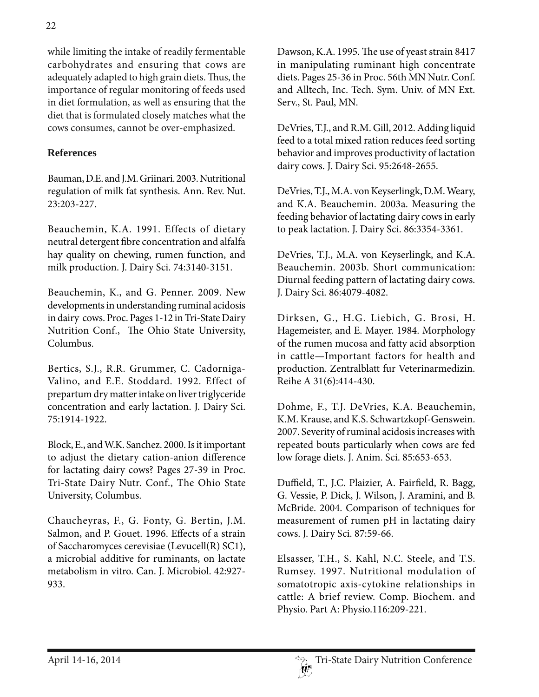while limiting the intake of readily fermentable carbohydrates and ensuring that cows are adequately adapted to high grain diets. Thus, the importance of regular monitoring of feeds used in diet formulation, as well as ensuring that the diet that is formulated closely matches what the cows consumes, cannot be over-emphasized.

### **References**

Bauman, D.E. and J.M. Griinari. 2003. Nutritional regulation of milk fat synthesis. Ann. Rev. Nut. 23:203-227.

Beauchemin, K.A. 1991. Effects of dietary neutral detergent fibre concentration and alfalfa hay quality on chewing, rumen function, and milk production. J. Dairy Sci. 74:3140-3151.

Beauchemin, K., and G. Penner. 2009. New developments in understanding ruminal acidosis in dairy cows. Proc. Pages 1-12 in Tri-State Dairy Nutrition Conf., The Ohio State University, Columbus.

Bertics, S.J., R.R. Grummer, C. Cadorniga-Valino, and E.E. Stoddard. 1992. Effect of prepartum dry matter intake on liver triglyceride concentration and early lactation. J. Dairy Sci. 75:1914-1922.

Block, E., and W.K. Sanchez. 2000. Is it important to adjust the dietary cation-anion difference for lactating dairy cows? Pages 27-39 in Proc. Tri-State Dairy Nutr. Conf., The Ohio State University, Columbus.

Chaucheyras, F., G. Fonty, G. Bertin, J.M. Salmon, and P. Gouet. 1996. Effects of a strain of Saccharomyces cerevisiae (Levucell(R) SC1), a microbial additive for ruminants, on lactate metabolism in vitro. Can. J. Microbiol. 42:927- 933.

Dawson, K.A. 1995. The use of yeast strain 8417 in manipulating ruminant high concentrate diets. Pages 25-36 in Proc. 56th MN Nutr. Conf. and Alltech, Inc. Tech. Sym. Univ. of MN Ext. Serv., St. Paul, MN.

DeVries, T.J., and R.M. Gill, 2012. Adding liquid feed to a total mixed ration reduces feed sorting behavior and improves productivity of lactation dairy cows. J. Dairy Sci. 95:2648-2655.

DeVries, T.J., M.A. von Keyserlingk, D.M. Weary, and K.A. Beauchemin. 2003a. Measuring the feeding behavior of lactating dairy cows in early to peak lactation. J. Dairy Sci. 86:3354-3361.

DeVries, T.J., M.A. von Keyserlingk, and K.A. Beauchemin. 2003b. Short communication: Diurnal feeding pattern of lactating dairy cows. J. Dairy Sci. 86:4079-4082.

Dirksen, G., H.G. Liebich, G. Brosi, H. Hagemeister, and E. Mayer. 1984. Morphology of the rumen mucosa and fatty acid absorption in cattle—Important factors for health and production. Zentralblatt fur Veterinarmedizin. Reihe A 31(6):414-430.

Dohme, F., T.J. DeVries, K.A. Beauchemin, K.M. Krause, and K.S. Schwartzkopf-Genswein. 2007. Severity of ruminal acidosis increases with repeated bouts particularly when cows are fed low forage diets. J. Anim. Sci. 85:653-653.

Duffield, T., J.C. Plaizier, A. Fairfield, R. Bagg, G. Vessie, P. Dick, J. Wilson, J. Aramini, and B. McBride. 2004. Comparison of techniques for measurement of rumen pH in lactating dairy cows. J. Dairy Sci. 87:59-66.

Elsasser, T.H., S. Kahl, N.C. Steele, and T.S. Rumsey. 1997. Nutritional modulation of somatotropic axis-cytokine relationships in cattle: A brief review. Comp. Biochem. and Physio. Part A: Physio.116:209-221.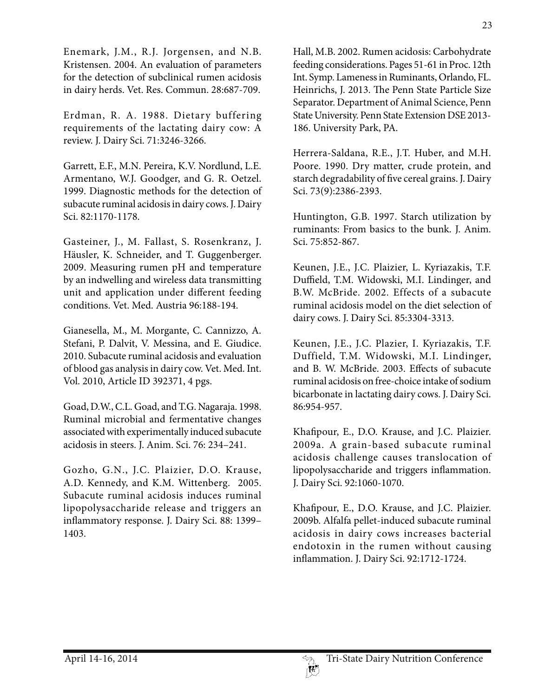Enemark, J.M., R.J. Jorgensen, and N.B. Kristensen. 2004. An evaluation of parameters for the detection of subclinical rumen acidosis in dairy herds. Vet. Res. Commun. 28:687-709.

Erdman, R. A. 1988. Dietary buffering requirements of the lactating dairy cow: A review. J. Dairy Sci. 71:3246-3266.

Garrett, E.F., M.N. Pereira, K.V. Nordlund, L.E. Armentano, W.J. Goodger, and G. R. Oetzel. 1999. Diagnostic methods for the detection of subacute ruminal acidosis in dairy cows. J. Dairy Sci. 82:1170-1178.

Gasteiner, J., M. Fallast, S. Rosenkranz, J. Häusler, K. Schneider, and T. Guggenberger. 2009. Measuring rumen pH and temperature by an indwelling and wireless data transmitting unit and application under different feeding conditions. Vet. Med. Austria 96:188-194.

Gianesella, M., M. Morgante, C. Cannizzo, A. Stefani, P. Dalvit, V. Messina, and E. Giudice. 2010. Subacute ruminal acidosis and evaluation of blood gas analysis in dairy cow. Vet. Med. Int. Vol. 2010, Article ID 392371, 4 pgs.

Goad, D.W., C.L. Goad, and T.G. Nagaraja. 1998. Ruminal microbial and fermentative changes associated with experimentally induced subacute acidosis in steers. J. Anim. Sci. 76: 234–241.

Gozho, G.N., J.C. Plaizier, D.O. Krause, A.D. Kennedy, and K.M. Wittenberg. 2005. Subacute ruminal acidosis induces ruminal lipopolysaccharide release and triggers an inflammatory response. J. Dairy Sci. 88: 1399– 1403.

Hall, M.B. 2002. Rumen acidosis: Carbohydrate feeding considerations. Pages 51-61 in Proc. 12th Int. Symp. Lameness in Ruminants, Orlando, FL. Heinrichs, J. 2013. The Penn State Particle Size Separator. Department of Animal Science, Penn State University. Penn State Extension DSE 2013- 186. University Park, PA.

Herrera-Saldana, R.E., J.T. Huber, and M.H. Poore. 1990. Dry matter, crude protein, and starch degradability of five cereal grains. J. Dairy Sci. 73(9):2386-2393.

Huntington, G.B. 1997. Starch utilization by ruminants: From basics to the bunk. J. Anim. Sci. 75:852-867.

Keunen, J.E., J.C. Plaizier, L. Kyriazakis, T.F. Duffield, T.M. Widowski, M.I. Lindinger, and B.W. McBride. 2002. Effects of a subacute ruminal acidosis model on the diet selection of dairy cows. J. Dairy Sci. 85:3304-3313.

Keunen, J.E., J.C. Plazier, I. Kyriazakis, T.F. Duffield, T.M. Widowski, M.I. Lindinger, and B. W. McBride. 2003. Effects of subacute ruminal acidosis on free-choice intake of sodium bicarbonate in lactating dairy cows. J. Dairy Sci. 86:954-957.

Khafipour, E., D.O. Krause, and J.C. Plaizier. 2009a. A grain-based subacute ruminal acidosis challenge causes translocation of lipopolysaccharide and triggers inflammation. J. Dairy Sci. 92:1060-1070.

Khafipour, E., D.O. Krause, and J.C. Plaizier. 2009b. Alfalfa pellet-induced subacute ruminal acidosis in dairy cows increases bacterial endotoxin in the rumen without causing inflammation. J. Dairy Sci. 92:1712-1724.

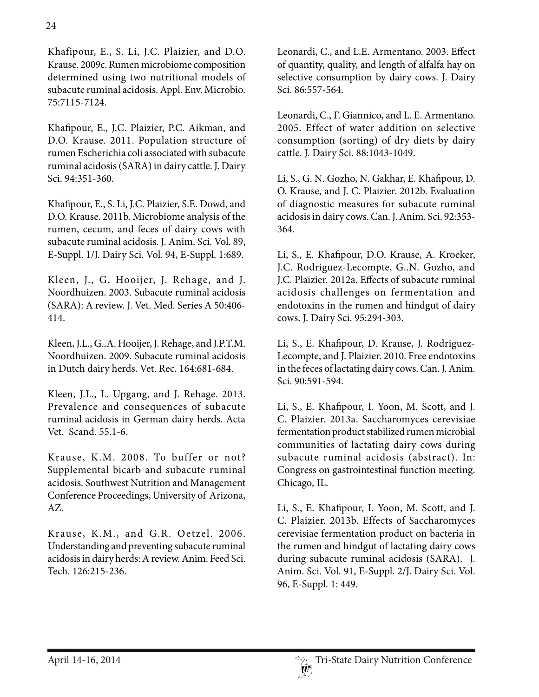Khafipour, E., S. Li, J.C. Plaizier, and D.O. Krause. 2009c. Rumen microbiome composition determined using two nutritional models of subacute ruminal acidosis. Appl. Env. Microbio. 75:7115-7124.

Khafipour, E., J.C. Plaizier, P.C. Aikman, and D.O. Krause. 2011. Population structure of rumen Escherichia coli associated with subacute ruminal acidosis (SARA) in dairy cattle. J. Dairy Sci. 94:351-360.

Khafipour, E., S. Li, J.C. Plaizier, S.E. Dowd, and D.O. Krause. 2011b. Microbiome analysis of the rumen, cecum, and feces of dairy cows with subacute ruminal acidosis. J. Anim. Sci. Vol. 89, E-Suppl. 1/J. Dairy Sci. Vol. 94, E-Suppl. 1:689.

Kleen, J., G. Hooijer, J. Rehage, and J. Noordhuizen. 2003. Subacute ruminal acidosis (SARA): A review. J. Vet. Med. Series A 50:406- 414.

Kleen, J.L., G..A. Hooijer, J. Rehage, and J.P.T.M. Noordhuizen. 2009. Subacute ruminal acidosis in Dutch dairy herds. Vet. Rec. 164:681-684.

Kleen, J.L., L. Upgang, and J. Rehage. 2013. Prevalence and consequences of subacute ruminal acidosis in German dairy herds. Acta Vet. Scand. 55.1-6.

Krause, K.M. 2008. To buffer or not? Supplemental bicarb and subacute ruminal acidosis. Southwest Nutrition and Management Conference Proceedings, University of Arizona, AZ.

Krause, K.M., and G.R. Oetzel. 2006. Understanding and preventing subacute ruminal acidosis in dairy herds: A review. Anim. Feed Sci. Tech. 126:215-236.

Leonardi, C., and L.E. Armentano. 2003. Effect of quantity, quality, and length of alfalfa hay on selective consumption by dairy cows. J. Dairy Sci. 86:557-564.

Leonardi, C., F. Giannico, and L. E. Armentano. 2005. Effect of water addition on selective consumption (sorting) of dry diets by dairy cattle. J. Dairy Sci. 88:1043-1049.

Li, S., G. N. Gozho, N. Gakhar, E. Khafipour, D. O. Krause, and J. C. Plaizier. 2012b. Evaluation of diagnostic measures for subacute ruminal acidosis in dairy cows. Can. J. Anim. Sci. 92:353- 364.

Li, S., E. Khafipour, D.O. Krause, A. Kroeker, J.C. Rodriguez-Lecompte, G..N. Gozho, and J.C. Plaizier. 2012a. Effects of subacute ruminal acidosis challenges on fermentation and endotoxins in the rumen and hindgut of dairy cows. J. Dairy Sci. 95:294-303.

Li, S., E. Khafipour, D. Krause, J. Rodriguez-Lecompte, and J. Plaizier. 2010. Free endotoxins in the feces of lactating dairy cows. Can. J. Anim. Sci. 90:591-594.

Li, S., E. Khafipour, I. Yoon, M. Scott, and J. C. Plaizier. 2013a. Saccharomyces cerevisiae fermentation product stabilized rumen microbial communities of lactating dairy cows during subacute ruminal acidosis (abstract). In: Congress on gastrointestinal function meeting. Chicago, IL.

Li, S., E. Khafipour, I. Yoon, M. Scott, and J. C. Plaizier. 2013b. Effects of Saccharomyces cerevisiae fermentation product on bacteria in the rumen and hindgut of lactating dairy cows during subacute ruminal acidosis (SARA). J. Anim. Sci. Vol. 91, E-Suppl. 2/J. Dairy Sci. Vol. 96, E-Suppl. 1: 449.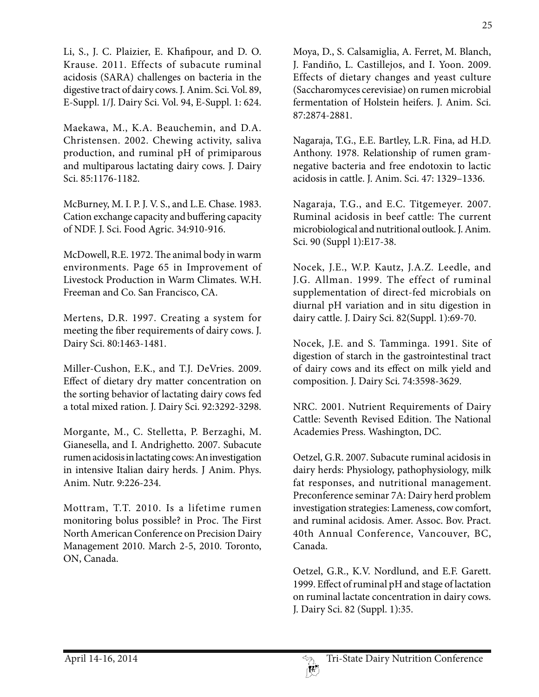Li, S., J. C. Plaizier, E. Khafipour, and D. O. Krause. 2011. Effects of subacute ruminal acidosis (SARA) challenges on bacteria in the digestive tract of dairy cows. J. Anim. Sci. Vol. 89, E-Suppl. 1/J. Dairy Sci. Vol. 94, E-Suppl. 1: 624.

Maekawa, M., K.A. Beauchemin, and D.A. Christensen. 2002. Chewing activity, saliva production, and ruminal pH of primiparous and multiparous lactating dairy cows. J. Dairy Sci. 85:1176-1182.

McBurney, M. I. P. J. V. S., and L.E. Chase. 1983. Cation exchange capacity and buffering capacity of NDF. J. Sci. Food Agric. 34:910-916.

McDowell, R.E. 1972. The animal body in warm environments. Page 65 in Improvement of Livestock Production in Warm Climates. W.H. Freeman and Co. San Francisco, CA.

Mertens, D.R. 1997. Creating a system for meeting the fiber requirements of dairy cows. J. Dairy Sci. 80:1463-1481.

Miller-Cushon, E.K., and T.J. DeVries. 2009. Effect of dietary dry matter concentration on the sorting behavior of lactating dairy cows fed a total mixed ration. J. Dairy Sci. 92:3292-3298.

Morgante, M., C. Stelletta, P. Berzaghi, M. Gianesella, and I. Andrighetto. 2007. Subacute rumen acidosis in lactating cows: An investigation in intensive Italian dairy herds. J Anim. Phys. Anim. Nutr. 9:226-234.

Mottram, T.T. 2010. Is a lifetime rumen monitoring bolus possible? in Proc. The First North American Conference on Precision Dairy Management 2010. March 2-5, 2010. Toronto, ON, Canada.

Moya, D., S. Calsamiglia, A. Ferret, M. Blanch, J. Fandiño, L. Castillejos, and I. Yoon. 2009. Effects of dietary changes and yeast culture (Saccharomyces cerevisiae) on rumen microbial fermentation of Holstein heifers. J. Anim. Sci. 87:2874-2881.

Nagaraja, T.G., E.E. Bartley, L.R. Fina, ad H.D. Anthony. 1978. Relationship of rumen gramnegative bacteria and free endotoxin to lactic acidosis in cattle. J. Anim. Sci. 47: 1329–1336.

Nagaraja, T.G., and E.C. Titgemeyer. 2007. Ruminal acidosis in beef cattle: The current microbiological and nutritional outlook. J. Anim. Sci. 90 (Suppl 1):E17-38.

Nocek, J.E., W.P. Kautz, J.A.Z. Leedle, and J.G. Allman. 1999. The effect of ruminal supplementation of direct-fed microbials on diurnal pH variation and in situ digestion in dairy cattle. J. Dairy Sci. 82(Suppl. 1):69-70.

Nocek, J.E. and S. Tamminga. 1991. Site of digestion of starch in the gastrointestinal tract of dairy cows and its effect on milk yield and composition. J. Dairy Sci. 74:3598-3629.

NRC. 2001. Nutrient Requirements of Dairy Cattle: Seventh Revised Edition. The National Academies Press. Washington, DC.

Oetzel, G.R. 2007. Subacute ruminal acidosis in dairy herds: Physiology, pathophysiology, milk fat responses, and nutritional management. Preconference seminar 7A: Dairy herd problem investigation strategies: Lameness, cow comfort, and ruminal acidosis. Amer. Assoc. Bov. Pract. 40th Annual Conference, Vancouver, BC, Canada.

Oetzel, G.R., K.V. Nordlund, and E.F. Garett. 1999. Effect of ruminal pH and stage of lactation on ruminal lactate concentration in dairy cows. J. Dairy Sci. 82 (Suppl. 1):35.